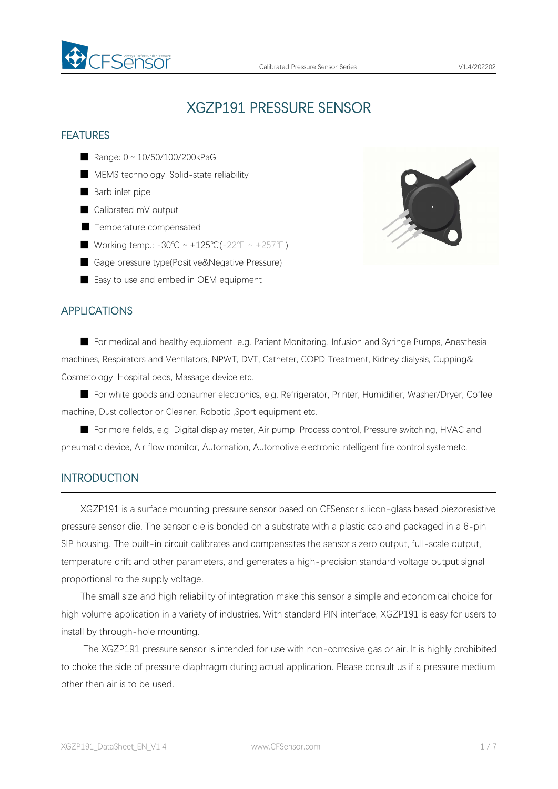

# XGZP191 PRESSURE SENSOR

#### FEATURES

- Range: 0 ~ 10/50/100/200kPaG
- MEMS technology, Solid-state reliability
- Barb inlet pipe
- Calibrated mV output
- Temperature compensated
- Working temp.: -30℃ ~ +125℃(-22°F ~ +257°F)
- Gage pressure type(Positive&Negative Pressure)
- Easy to use and embed in OEM equipment



#### APPLICATIONS

■ For medical and healthy equipment, e.g. Patient Monitoring, Infusion and Syringe Pumps, Anesthesia machines, Respirators and Ventilators, NPWT, DVT, Catheter, COPD Treatment, Kidney dialysis, Cupping& Cosmetology, Hospital beds, Massage device etc.

■ For white goods and consumer electronics, e.g. Refrigerator, Printer, Humidifier, Washer/Dryer, Coffee machine, Dust collector or Cleaner, Robotic ,Sport equipment etc.

■ For more fields, e.g. Digital display meter, Air pump, Process control, Pressure switching, HVAC and pneumatic device, Air flow monitor, Automation, Automotive electronic,Intelligent fire control systemetc.

#### INTRODUCTION

XGZP191 is a surface mounting pressure sensor based on CFSensor silicon-glass based piezoresistive pressure sensor die. The sensor die is bonded on a substrate with a plastic cap and packaged in a 6-pin SIP housing. The built-in circuit calibrates and compensates the sensor's zero output, full-scale output, temperature drift and other parameters, and generates a high-precision standard voltage output signal proportional to the supply voltage.

The small size and high reliability of integration make this sensor a simple and economical choice for high volume application in avariety of industries. With standard PIN interface, XGZP191 is easy for users to install by through-hole mounting.

The XGZP191 pressure sensor is intended for use with non-corrosive gas or air. It is highly prohibited to choke the side of pressure diaphragm during actual application. Please consult us if a pressure medium other then air is to be used.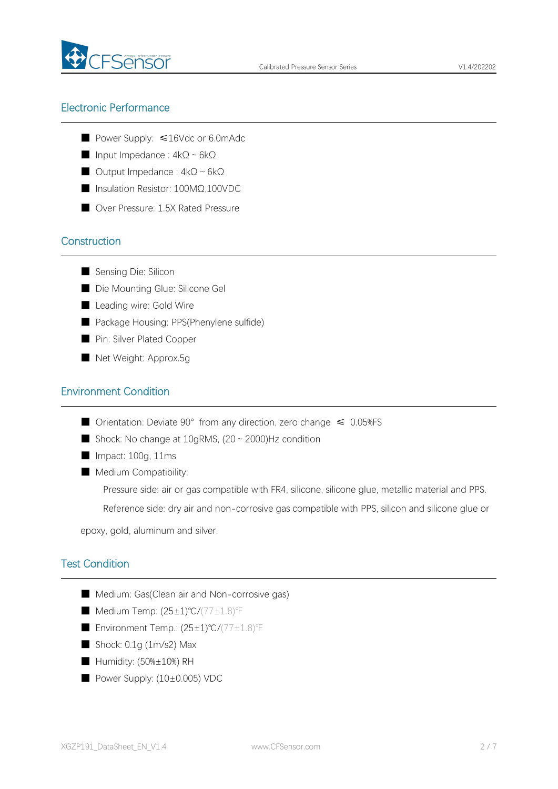

# Electronic Performance

- Power Supply: ≤16Vdc or 6.0mAdc
- Input Impedance :  $4kΩ ~ 6kΩ$
- Output Impedance : 4kΩ~6kΩ
- Insulation Resistor: 100MΩ,100VDC
- Over Pressure: 1.5X Rated Pressure

# **Construction**

- Sensing Die: Silicon
- Die Mounting Glue: Silicone Gel
- Leading wire: Gold Wire
- Package Housing: PPS(Phenylene sulfide)
- Pin: Silver Plated Copper
- Net Weight: Approx.5g

### Environment Condition

- Orientation: Deviate  $90^{\circ}$  from any direction, zero change  $\leq 0.05\%$ FS
- Shock: No change at  $10$ gRMS,  $(20 \text{ ∼ } 2000)$ Hz condition
- Impact: 100g, 11ms
- Medium Compatibility:

Pressure side: air or gas compatible with FR4, silicone, silicone glue, metallic material and PPS.

Reference side: dry air and non-corrosive gas compatible with PPS, silicon and silicone glue or

epoxy, gold, aluminum and silver.

# Test Condition

- Medium: Gas(Clean air and Non-corrosive gas)
- Medium Temp: (25±1)℃/(77±1.8)°F
- Environment Temp.: (25±1)℃/(77±1.8)℉
- Shock: 0.1g (1m/s2) Max
- Humidity: (50%±10%) RH
- Power Supply: (10±0.005) VDC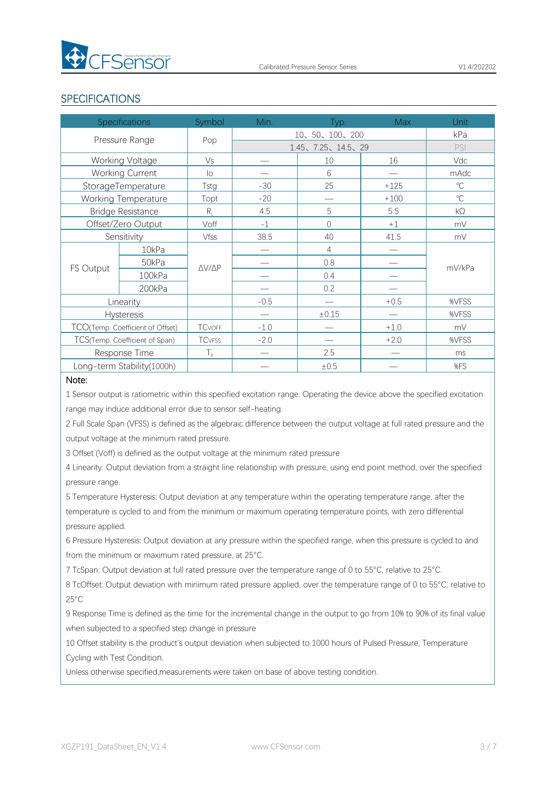

# SPECIFICATIONS

| <b>Specifications</b>            |                 | Symbol                        | Min.              | Typ.                          | <b>Max</b> | Unit         |
|----------------------------------|-----------------|-------------------------------|-------------------|-------------------------------|------------|--------------|
| Pressure Range                   |                 | Pop                           | 10、50、100、200     |                               |            | kPa          |
|                                  |                 |                               | 1.45、7.25、14.5、29 |                               |            | PSI          |
|                                  | Working Voltage | Vs                            |                   | 10                            | 16         | Vdc          |
| Working Current                  |                 | $\overline{O}$                |                   | 6                             | —          | mAdc         |
| StorageTemperature               |                 | Tstg                          | $-30$             | 25                            | $+125$     | $^{\circ}$ C |
| Working Temperature              |                 | Topt                          | $-20$             | $\overbrace{\phantom{12333}}$ | $+100$     | $\mathrm{C}$ |
| <b>Bridge Resistance</b>         |                 | $R_{\scriptscriptstyle\perp}$ | 4.5               | 5                             | 5.5        | kΩ           |
| Offset/Zero Output               |                 | Voff                          | $-1$              | $\overline{0}$                | $+1$       | mV           |
| Sensitivity                      |                 | Vfss                          | 38.5              | 40                            | 41.5       | mV           |
| FS Output                        | 10kPa           | $\triangle V / \triangle P$   |                   | 4                             | —          | mV/kPa       |
|                                  | 50kPa           |                               |                   | 0.8                           |            |              |
|                                  | 100kPa          |                               |                   | 0.4                           |            |              |
|                                  | 200kPa          |                               |                   | 0.2                           |            |              |
| Linearity                        |                 |                               | $-0.5$            | $\overline{\phantom{0}}$      | $+0.5$     | %VFSS        |
| <b>Hysteresis</b>                |                 |                               |                   | $\pm 0.15$                    |            | %VFSS        |
| TCO(Temp. Coefficient of Offset) |                 | <b>TCVOFF</b>                 | $-1.0$            |                               | $+1.0$     | mV           |
| TCS(Temp. Coefficient of Span)   |                 | <b>TC</b> VFSS                | $-2.0$            |                               | $+2.0$     | %VFSS        |
| Response Time                    |                 | $T_{R}$                       |                   | 2.5                           |            | ms           |
| Long-term Stability(1000h)       |                 |                               |                   | ±0.5                          |            | %FS          |

#### Note:

1 Sensor output is ratiometric within this specified excitation range. Operating the device above the specified excitation range may induce additional error due to sensor self-heating.

2 Full Scale Span (VFSS) is defined as the algebraic difference between the output voltage at full rated pressure and the output voltage at the minimum rated pressure.

3 Offset (Voff) is defined as the output voltage at the minimum rated pressure

4 Linearity: Output deviation from a straight line relationship with pressure, using end point method, over the specified pressure range.

5 Temperature Hysteresis: Output deviation at any temperature within the operating temperature range, after the temperature is cycled to and from the minimum or maximum operating temperature points, with zero differential pressure applied.

6 Pressure Hysteresis: Output deviation at any pressure within the specified range, when this pressure is cycled to and from the minimum or maximum rated pressure, at 25°C.

7 TcSpan: Output deviation at full rated pressure over the temperature range of 0 to 55°C, relative to 25°C.

8 TcOffset: Output deviation with minimum rated pressure applied, over the temperature range of 0 to 55°C, relative to 25°C

9 Response Time is defined as the time for the incremental change in the output to go from 10% to 90% of its final value when subjected to a specified step change in pressure

10 Offset stability is the product's output deviation when subjected to 1000 hours of Pulsed Pressure, Temperature Cycling with Test Condition.

Unless otherwise specified,measurements were taken on base of above testing condition.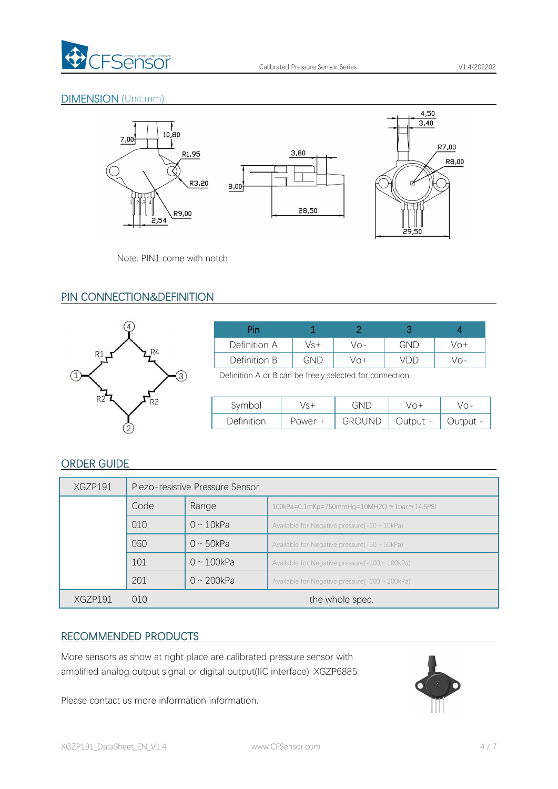

# DIMENSION (Unit:mm)



Note: PIN1 come with notch

# PIN CONNECTION&DEFINITION



| Pin          |     |             |     |     |
|--------------|-----|-------------|-----|-----|
| Definition A | Vs+ | Vo-         | GND | Vo+ |
| Definition B | GND | $\sqrt{O+}$ | vdl | VO- |

Definition A or B can be freely selected for connection.

| Symbol     | $10 +$  | GND           | /∩+      | /∩–      |
|------------|---------|---------------|----------|----------|
| Definition | Power + | <b>GROUND</b> | Output + | - Jutput |

# ORDER GUIDE

| XGZP191 | Piezo-resistive Pressure Sensor |                  |                                                       |  |  |
|---------|---------------------------------|------------------|-------------------------------------------------------|--|--|
|         | Code                            | Range            | 100kPa=0.1mKp=750mmHg=10MH2O ≈1bar ≈14.5PSI           |  |  |
|         | 010                             | $0 \sim 10kPa$   | Available for Negative pressure $(-10 \sim 10kPa)$    |  |  |
|         | 050                             | $0 \sim 50kPa$   | Available for Negative pressure( $-50 \sim 50kPa$ )   |  |  |
|         | 101                             | $0 \sim 100$ kPa | Available for Negative pressure( $-100 \sim 100$ kPa) |  |  |
|         | 201                             | $0 \sim 200$ kPa | Available for Negative pressure( $-100 \sim 200$ kPa) |  |  |
| XG7P191 | 010                             | the whole spec.  |                                                       |  |  |

# RECOMMENDED PRODUCTS

More sensors as show at right place are calibrated pressure sensor with amplified analog output signal or digital output(IIC interface): XGZP6885

Please contact us more information information.

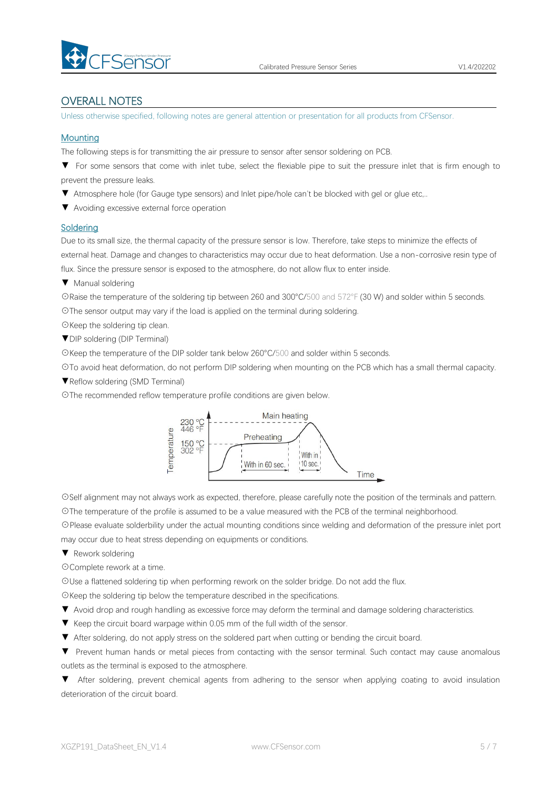

#### OVERALL NOTES

Unless otherwise specified, following notes are general attention or presentation for all products from CFSensor.

#### **Mounting**

The following steps is for transmitting the air pressure to sensor after sensor soldering on PCB.

▼ For some sensors that come with inlet tube, select the flexiable pipe to suit the pressure inlet that is firm enough to prevent the pressure leaks.

▼ Atmosphere hole (for Gauge type sensors) and Inlet pipe/hole can't be blocked with gel or glue etc,..

▼ Avoiding excessive external force operation

#### **Soldering**

Due to its small size, the thermal capacity of the pressure sensor is low. Therefore, take steps to minimize the effects of external heat. Damage and changes to characteristics may occur due to heat deformation. Use a non-corrosive resin type of flux. Since the pressure sensor is exposed to the atmosphere, do not allow flux to enter inside.

▼ Manual soldering

☉Raise the temperature of the soldering tip between 260 and 300°C/500 and 572°F (30 W) and solder within 5 seconds. ☉The sensor output may vary if the load is applied on the terminal during soldering.

☉Keep the soldering tip clean.

▼DIP soldering (DIP Terminal)

☉Keep the temperature of the DIP solder tank below 260°C/500 and solder within 5 seconds.

☉To avoid heat deformation, do not perform DIP soldering when mounting on the PCB which has a small thermal capacity.

▼Reflow soldering (SMD Terminal)

☉The recommended reflow temperature profile conditions are given below.



☉Self alignment may not always work as expected, therefore, please carefully note the position of the terminals and pattern. ☉The temperature of the profile is assumed to be a value measured with the PCB of the terminal neighborhood.

☉Please evaluate solderbility under the actual mounting conditions since welding and deformation of the pressure inlet port may occur due to heat stress depending on equipments or conditions.

▼ Rework soldering

☉Complete rework at a time.

☉Use a flattened soldering tip when performing rework on the solder bridge. Do not add the flux.

☉Keep the soldering tip below the temperature described in the specifications.

- ▼ Avoid drop and rough handling as excessive force may deform the terminal and damage soldering characteristics.
- 
- ▼ Keep the circuit board warpage within 0.05 mm of the full width of the sensor.<br>▼ After soldering, do not apply stress on the soldered part when cutting or bending the circuit board.

▼ Prevent human hands or metal pieces from contacting with the sensor terminal. Such contact may cause anomalous outlets as the terminal is exposed to the atmosphere.

▼ After soldering, prevent chemical agents from adhering to the sensor when applying coating to avoid insulation deterioration of the circuit board.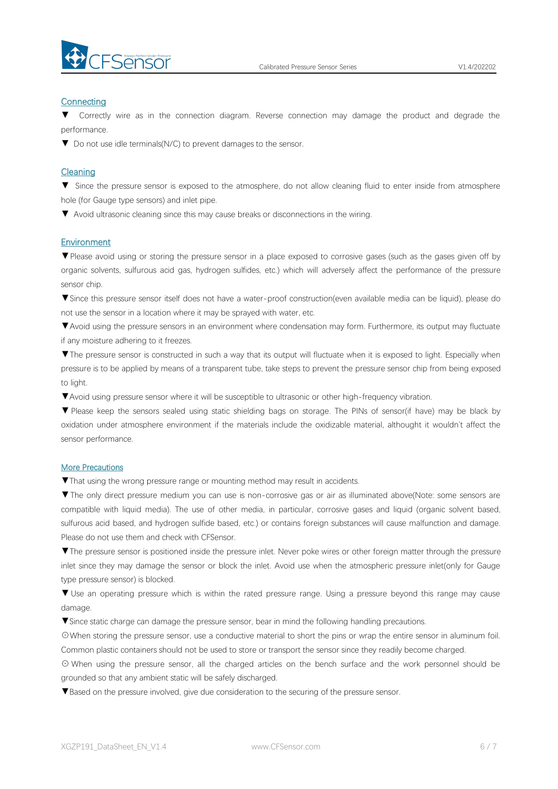

#### **Connecting**

Correctly wire as in the connection diagram. Reverse connection may damage the product and degrade the performance.

▼ Do not use idle terminals(N/C) to prevent damages to the sensor.

#### Cleaning

▼ Since the pressure sensor is exposed to the atmosphere, do not allow cleaning fluid to enter inside from atmosphere hole (for Gauge type sensors) and inlet pipe.

▼ Avoid ultrasonic cleaning since this may cause breaks or disconnections in the wiring.

#### Environment

▼Please avoid using or storing the pressure sensor in a place exposed to corrosive gases (such as the gases given off by organic solvents, sulfurous acid gas, hydrogen sulfides, etc.) which will adversely affect the performance of the pressure sensor chip.

▼Since this pressure sensor itself does not have a water-proof construction(even available media can be liquid), please do not use the sensor in alocation where it may be sprayed with water, etc.

▼Avoid using the pressure sensors in an environment where condensation may form. Furthermore, its output may fluctuate if any moisture adhering to it freezes.

▼The pressure sensor is constructed in such a way that its output will fluctuate when it is exposed to light. Especially when pressure is to be applied by means of a transparent tube, take steps to prevent the pressure sensor chip from being exposed to light.

▼Avoid using pressure sensor where it will be susceptible to ultrasonic or other high-frequency vibration.

▼ Please keep the sensors sealed using static shielding bags on storage. The PINs of sensor(if have) may be black by oxidation under atmosphere environment if the materials include the oxidizable material, althought it wouldn't affect the sensor performance.

#### More Precautions

▼That using the wrong pressure range or mounting method mayresult in accidents.

▼The only direct pressure medium you can use is non-corrosive gas or air as illuminated above(Note: some sensors are compatible with liquid media). The use of other media, in particular, corrosive gases and liquid (organic solvent based, sulfurous acid based, and hydrogen sulfide based, etc.) or contains foreign substances will cause malfunction and damage.<br>Please do not use them and check with CFSensor.

▼The pressure sensor is positioned inside the pressure inlet. Never poke wires orother foreign matter through the pressure inlet since they may damage the sensor or block the inlet. Avoid use when the atmospheric pressure inlet(only for Gauge type pressure sensor) is blocked.

▼ Use an operating pressure which is within the rated pressure range. Using a pressure beyond this range may cause damage.

▼Since static charge can damage the pressure sensor, bear in mind the following handling precautions.

☉When storing the pressure sensor, use a conductive material to short the pins or wrap the entire sensor in aluminum foil. Common plastic containers should not be used to store or transport the sensor since they readily become charged.

⊙ When using the pressure sensor, all the charged articles on the bench surface and the work personnel should be grounded so that any ambient static will be safely discharged.

▼Based on the pressure involved, give due consideration to the securing of the pressure sensor.